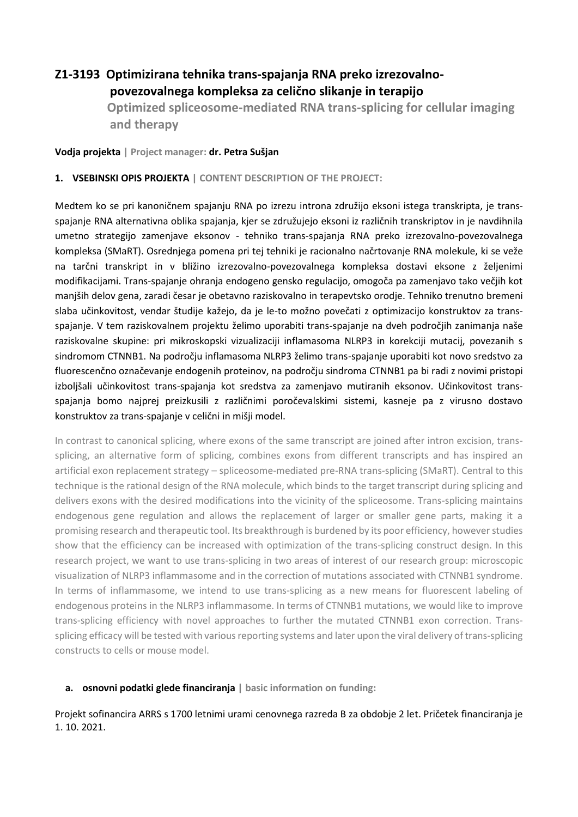## **Z1-3193 Optimizirana tehnika trans-spajanja RNA preko izrezovalnopovezovalnega kompleksa za celično slikanje in terapijo**

 **Optimized spliceosome-mediated RNA trans-splicing for cellular imaging and therapy**

**Vodja projekta | Project manager: dr. Petra Sušjan**

## **1. VSEBINSKI OPIS PROJEKTA | CONTENT DESCRIPTION OF THE PROJECT:**

Medtem ko se pri kanoničnem spajanju RNA po izrezu introna združijo eksoni istega transkripta, je transspajanje RNA alternativna oblika spajanja, kjer se združujejo eksoni iz različnih transkriptov in je navdihnila umetno strategijo zamenjave eksonov - tehniko trans-spajanja RNA preko izrezovalno-povezovalnega kompleksa (SMaRT). Osrednjega pomena pri tej tehniki je racionalno načrtovanje RNA molekule, ki se veže na tarčni transkript in v bližino izrezovalno-povezovalnega kompleksa dostavi eksone z željenimi modifikacijami. Trans-spajanje ohranja endogeno gensko regulacijo, omogoča pa zamenjavo tako večjih kot manjših delov gena, zaradi česar je obetavno raziskovalno in terapevtsko orodje. Tehniko trenutno bremeni slaba učinkovitost, vendar študije kažejo, da je le-to možno povečati z optimizacijo konstruktov za transspajanje. V tem raziskovalnem projektu želimo uporabiti trans-spajanje na dveh področjih zanimanja naše raziskovalne skupine: pri mikroskopski vizualizaciji inflamasoma NLRP3 in korekciji mutacij, povezanih s sindromom CTNNB1. Na področju inflamasoma NLRP3 želimo trans-spajanje uporabiti kot novo sredstvo za fluorescenčno označevanje endogenih proteinov, na področju sindroma CTNNB1 pa bi radi z novimi pristopi izboljšali učinkovitost trans-spajanja kot sredstva za zamenjavo mutiranih eksonov. Učinkovitost transspajanja bomo najprej preizkusili z različnimi poročevalskimi sistemi, kasneje pa z virusno dostavo konstruktov za trans-spajanje v celični in mišji model.

In contrast to canonical splicing, where exons of the same transcript are joined after intron excision, transsplicing, an alternative form of splicing, combines exons from different transcripts and has inspired an artificial exon replacement strategy – spliceosome-mediated pre-RNA trans-splicing (SMaRT). Central to this technique is the rational design of the RNA molecule, which binds to the target transcript during splicing and delivers exons with the desired modifications into the vicinity of the spliceosome. Trans-splicing maintains endogenous gene regulation and allows the replacement of larger or smaller gene parts, making it a promising research and therapeutic tool. Its breakthrough is burdened by its poor efficiency, howeverstudies show that the efficiency can be increased with optimization of the trans-splicing construct design. In this research project, we want to use trans-splicing in two areas of interest of our research group: microscopic visualization of NLRP3 inflammasome and in the correction of mutations associated with CTNNB1 syndrome. In terms of inflammasome, we intend to use trans-splicing as a new means for fluorescent labeling of endogenous proteins in the NLRP3 inflammasome. In terms of CTNNB1 mutations, we would like to improve trans-splicing efficiency with novel approaches to further the mutated CTNNB1 exon correction. Transsplicing efficacy will be tested with various reporting systems and later upon the viral delivery of trans-splicing constructs to cells or mouse model.

## **a. osnovni podatki glede financiranja | basic information on funding:**

Projekt sofinancira ARRS s 1700 letnimi urami cenovnega razreda B za obdobje 2 let. Pričetek financiranja je 1. 10. 2021.